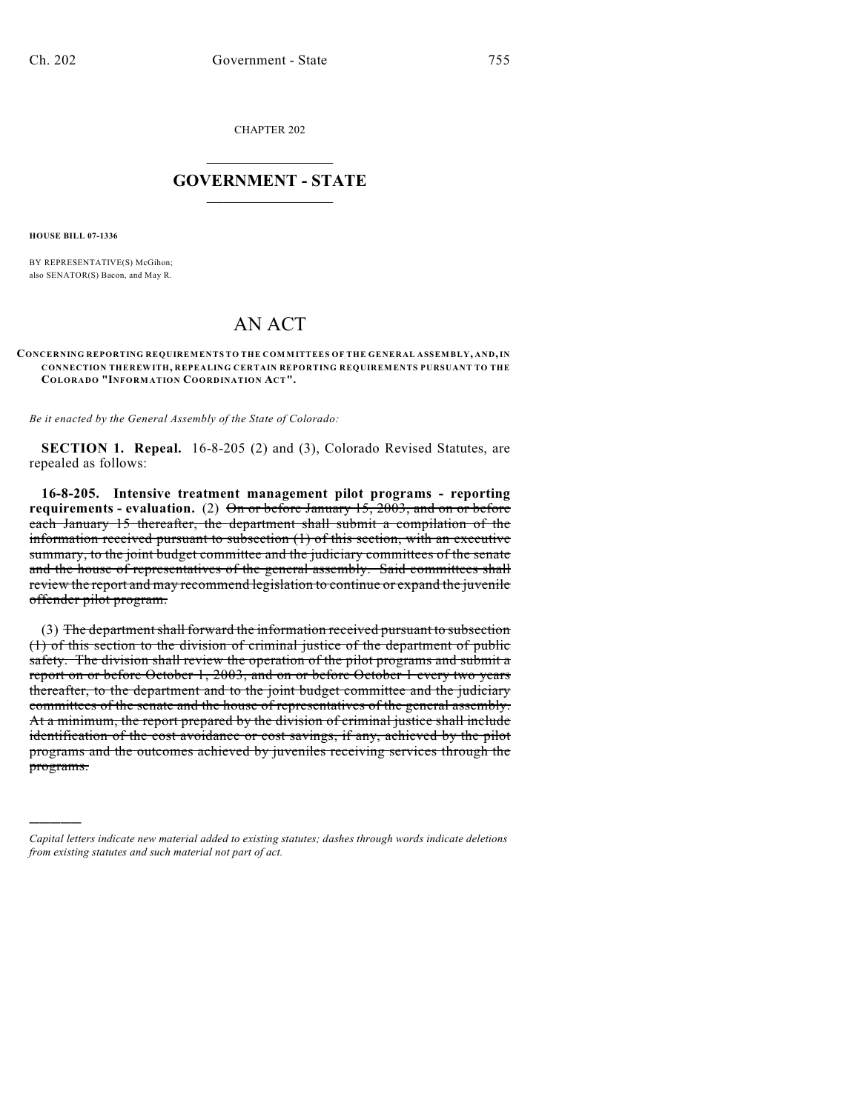CHAPTER 202

## $\mathcal{L}_\text{max}$  . The set of the set of the set of the set of the set of the set of the set of the set of the set of the set of the set of the set of the set of the set of the set of the set of the set of the set of the set **GOVERNMENT - STATE**  $\_$   $\_$

**HOUSE BILL 07-1336**

)))))

BY REPRESENTATIVE(S) McGihon; also SENATOR(S) Bacon, and May R.

## AN ACT

## **CONCERNING REPORTING REQUIREMENTS TO THE COMMITTEES OF THE GENERAL ASSEMBLY, AND, IN CONNECTION THEREWITH, REPEALING CERTAIN REPORTING REQUIREMENTS PURSUANT TO THE COLORADO "INFORMATION COORDINATION ACT".**

*Be it enacted by the General Assembly of the State of Colorado:*

**SECTION 1. Repeal.** 16-8-205 (2) and (3), Colorado Revised Statutes, are repealed as follows:

**16-8-205. Intensive treatment management pilot programs - reporting requirements - evaluation.** (2) On or before January 15, 2003, and on or before each January 15 thereafter, the department shall submit a compilation of the information received pursuant to subsection (1) of this section, with an executive summary, to the joint budget committee and the judiciary committees of the senate and the house of representatives of the general assembly. Said committees shall review the report and may recommend legislation to continue or expand the juvenile offender pilot program.

(3) The department shall forward the information received pursuant to subsection (1) of this section to the division of criminal justice of the department of public safety. The division shall review the operation of the pilot programs and submit a report on or before October 1, 2003, and on or before October 1 every two years thereafter, to the department and to the joint budget committee and the judiciary committees of the senate and the house of representatives of the general assembly. At a minimum, the report prepared by the division of criminal justice shall include identification of the cost avoidance or cost savings, if any, achieved by the pilot programs and the outcomes achieved by juveniles receiving services through the programs.

*Capital letters indicate new material added to existing statutes; dashes through words indicate deletions from existing statutes and such material not part of act.*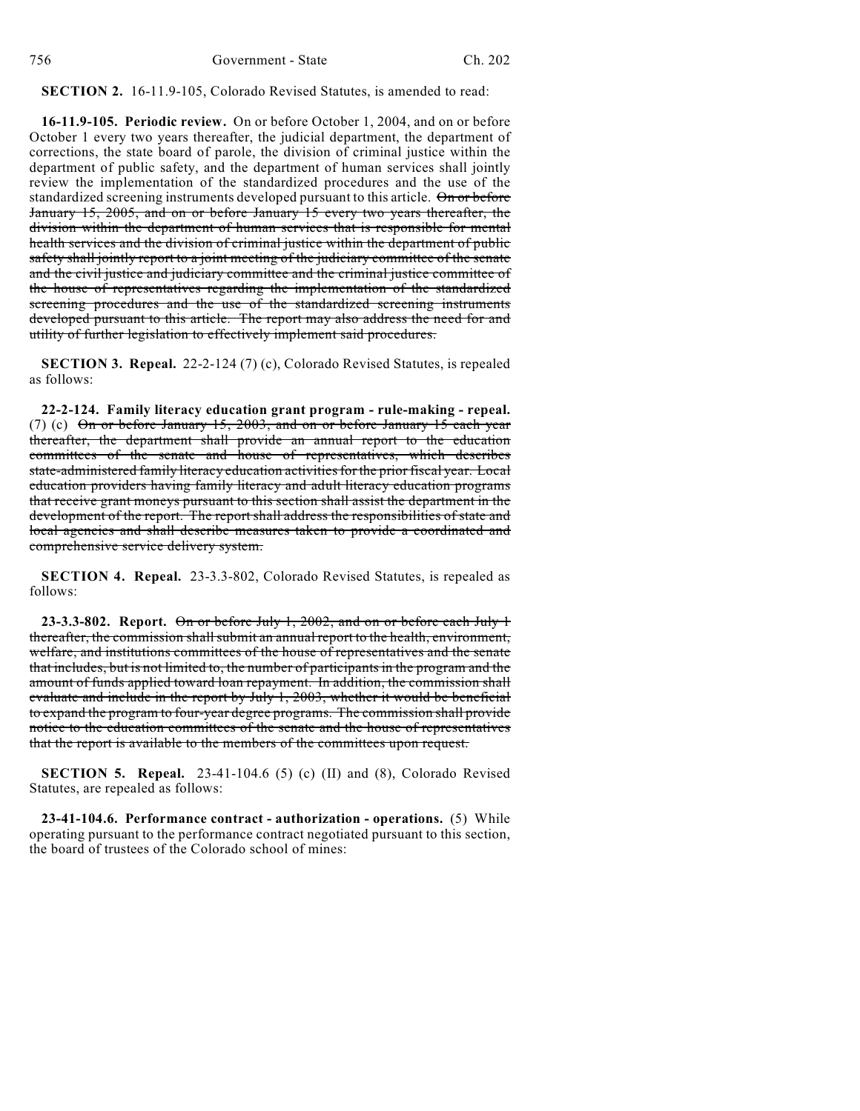**SECTION 2.** 16-11.9-105, Colorado Revised Statutes, is amended to read:

**16-11.9-105. Periodic review.** On or before October 1, 2004, and on or before October 1 every two years thereafter, the judicial department, the department of corrections, the state board of parole, the division of criminal justice within the department of public safety, and the department of human services shall jointly review the implementation of the standardized procedures and the use of the standardized screening instruments developed pursuant to this article. On or before January 15, 2005, and on or before January 15 every two years thereafter, the division within the department of human services that is responsible for mental health services and the division of criminal justice within the department of public safety shall jointly report to a joint meeting of the judiciary committee of the senate and the civil justice and judiciary committee and the criminal justice committee of the house of representatives regarding the implementation of the standardized screening procedures and the use of the standardized screening instruments developed pursuant to this article. The report may also address the need for and utility of further legislation to effectively implement said procedures.

**SECTION 3. Repeal.** 22-2-124 (7) (c), Colorado Revised Statutes, is repealed as follows:

**22-2-124. Family literacy education grant program - rule-making - repeal.** (7) (c) On or before January 15, 2003, and on or before January 15 each year thereafter, the department shall provide an annual report to the education committees of the senate and house of representatives, which describes state-administered family literacy education activities for the prior fiscal year. Local education providers having family literacy and adult literacy education programs that receive grant moneys pursuant to this section shall assist the department in the development of the report. The report shall address the responsibilities of state and local agencies and shall describe measures taken to provide a coordinated and comprehensive service delivery system.

**SECTION 4. Repeal.** 23-3.3-802, Colorado Revised Statutes, is repealed as follows:

**23-3.3-802. Report.** On or before July 1, 2002, and on or before each July 1 thereafter, the commission shall submit an annual report to the health, environment, welfare, and institutions committees of the house of representatives and the senate that includes, but is not limited to, the number of participants in the program and the amount of funds applied toward loan repayment. In addition, the commission shall evaluate and include in the report by July 1, 2003, whether it would be beneficial to expand the program to four-year degree programs. The commission shall provide notice to the education committees of the senate and the house of representatives that the report is available to the members of the committees upon request.

**SECTION 5. Repeal.** 23-41-104.6 (5) (c) (II) and (8), Colorado Revised Statutes, are repealed as follows:

**23-41-104.6. Performance contract - authorization - operations.** (5) While operating pursuant to the performance contract negotiated pursuant to this section, the board of trustees of the Colorado school of mines: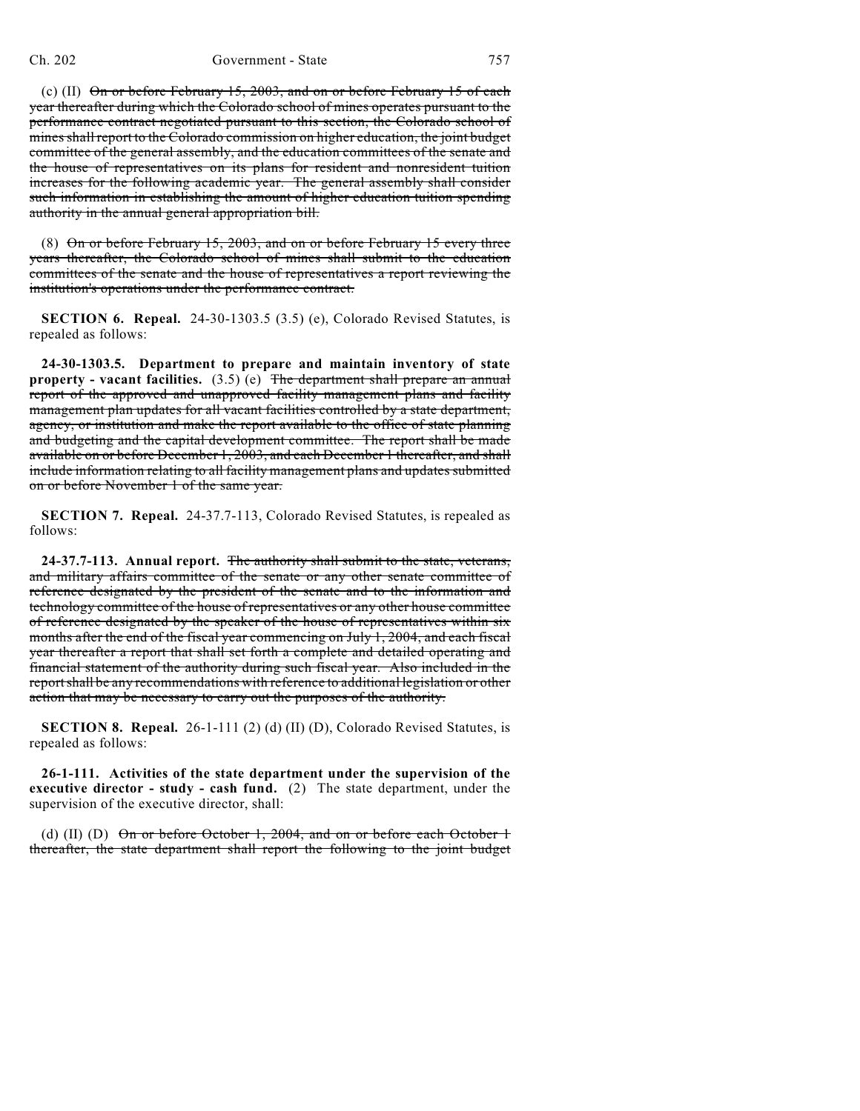(c) (II) On or before February 15, 2003, and on or before February 15 of each year thereafter during which the Colorado school of mines operates pursuant to the performance contract negotiated pursuant to this section, the Colorado school of mines shall report to the Colorado commission on higher education, the joint budget committee of the general assembly, and the education committees of the senate and the house of representatives on its plans for resident and nonresident tuition increases for the following academic year. The general assembly shall consider such information in establishing the amount of higher education tuition spending authority in the annual general appropriation bill.

(8) On or before February 15, 2003, and on or before February 15 every three years thereafter, the Colorado school of mines shall submit to the education committees of the senate and the house of representatives a report reviewing the institution's operations under the performance contract.

**SECTION 6. Repeal.** 24-30-1303.5 (3.5) (e), Colorado Revised Statutes, is repealed as follows:

**24-30-1303.5. Department to prepare and maintain inventory of state property - vacant facilities.** (3.5) (e) The department shall prepare an annual report of the approved and unapproved facility management plans and facility management plan updates for all vacant facilities controlled by a state department, agency, or institution and make the report available to the office of state planning and budgeting and the capital development committee. The report shall be made available on or before December 1, 2003, and each December 1 thereafter, and shall include information relating to all facility management plans and updates submitted on or before November 1 of the same year.

**SECTION 7. Repeal.** 24-37.7-113, Colorado Revised Statutes, is repealed as follows:

**24-37.7-113. Annual report.** The authority shall submit to the state, veterans, and military affairs committee of the senate or any other senate committee of reference designated by the president of the senate and to the information and technology committee of the house of representatives or any other house committee of reference designated by the speaker of the house of representatives within six months after the end of the fiscal year commencing on July 1, 2004, and each fiscal year thereafter a report that shall set forth a complete and detailed operating and financial statement of the authority during such fiscal year. Also included in the report shall be any recommendations with reference to additional legislation or other action that may be necessary to carry out the purposes of the authority.

**SECTION 8. Repeal.** 26-1-111 (2) (d) (II) (D), Colorado Revised Statutes, is repealed as follows:

**26-1-111. Activities of the state department under the supervision of the executive director - study - cash fund.** (2) The state department, under the supervision of the executive director, shall:

(d) (II) (D) On or before October 1, 2004, and on or before each October 1 thereafter, the state department shall report the following to the joint budget